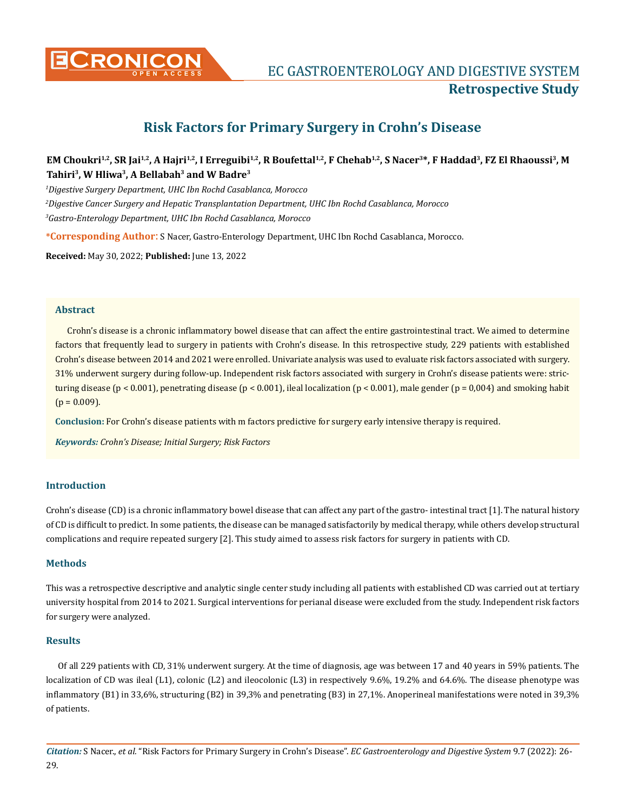

# **Risk Factors for Primary Surgery in Crohn's Disease**

# EM Choukri<sup>1,2</sup>, SR Jai<sup>1,2</sup>, A Hajri<sup>1,2</sup>, I Erreguibi<sup>1,2</sup>, R Boufettal<sup>1,2</sup>, F Chehab<sup>1,2</sup>, S Nacer<sup>3\*</sup>, F Haddad<sup>3</sup>, FZ El Rhaoussi<sup>3</sup>, M **Tahiri3, W Hliwa3, A Bellabah3 and W Badre3**

*1 Digestive Surgery Department, UHC Ibn Rochd Casablanca, Morocco*

*2 Digestive Cancer Surgery and Hepatic Transplantation Department, UHC Ibn Rochd Casablanca, Morocco*

*3 Gastro-Enterology Department, UHC Ibn Rochd Casablanca, Morocco*

**\*Corresponding Author**: S Nacer, Gastro-Enterology Department, UHC Ibn Rochd Casablanca, Morocco.

**Received:** May 30, 2022; **Published:** June 13, 2022

#### **Abstract**

Crohn's disease is a chronic inflammatory bowel disease that can affect the entire gastrointestinal tract. We aimed to determine factors that frequently lead to surgery in patients with Crohn's disease. In this retrospective study, 229 patients with established Crohn's disease between 2014 and 2021 were enrolled. Univariate analysis was used to evaluate risk factors associated with surgery. 31% underwent surgery during follow-up. Independent risk factors associated with surgery in Crohn's disease patients were: stricturing disease (p < 0.001), penetrating disease (p < 0.001), ileal localization (p < 0.001), male gender (p = 0,004) and smoking habit  $(p = 0.009)$ .

**Conclusion:** For Crohn's disease patients with m factors predictive for surgery early intensive therapy is required.

*Keywords: Crohn's Disease; Initial Surgery; Risk Factors*

## **Introduction**

Crohn's disease (CD) is a chronic inflammatory bowel disease that can affect any part of the gastro- intestinal tract [1]. The natural history of CD is difficult to predict. In some patients, the disease can be managed satisfactorily by medical therapy, while others develop structural complications and require repeated surgery [2]. This study aimed to assess risk factors for surgery in patients with CD.

#### **Methods**

This was a retrospective descriptive and analytic single center study including all patients with established CD was carried out at tertiary university hospital from 2014 to 2021. Surgical interventions for perianal disease were excluded from the study. Independent risk factors for surgery were analyzed.

#### **Results**

Of all 229 patients with CD, 31% underwent surgery. At the time of diagnosis, age was between 17 and 40 years in 59% patients. The localization of CD was ileal (L1), colonic (L2) and ileocolonic (L3) in respectively 9.6%, 19.2% and 64.6%. The disease phenotype was inflammatory (B1) in 33,6%, structuring (B2) in 39,3% and penetrating (B3) in 27,1%. Anoperineal manifestations were noted in 39,3% of patients.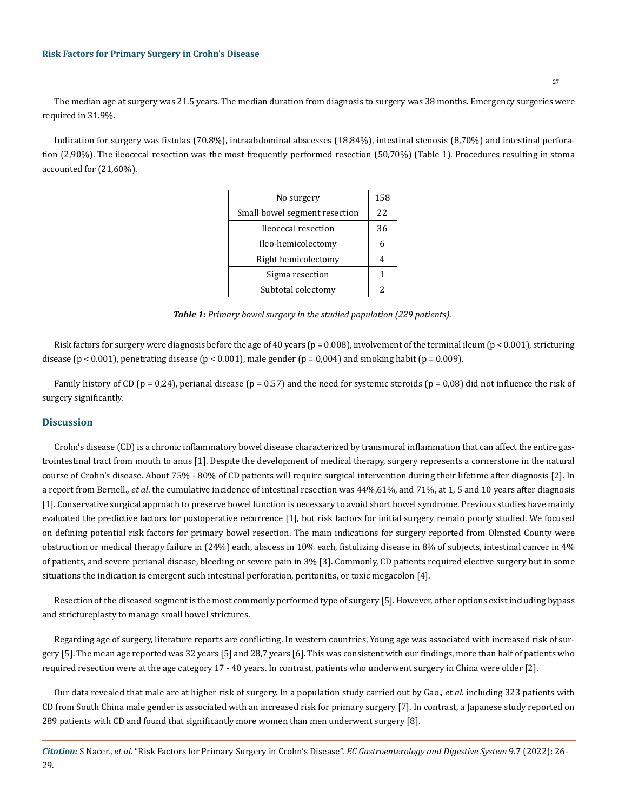The median age at surgery was 21.5 years. The median duration from diagnosis to surgery was 38 months. Emergency surgeries were required in 31.9%.

Indication for surgery was fistulas (70.8%), intraabdominal abscesses (18,84%), intestinal stenosis (8,70%) and intestinal perforation (2,90%). The ileocecal resection was the most frequently performed resection (50,70%) (Table 1). Procedures resulting in stoma accounted for (21,60%).

| No surgery                    | 158 |
|-------------------------------|-----|
| Small bowel segment resection | 22  |
| Ileocecal resection           | 36  |
| Ileo-hemicolectomy            | 6   |
| Right hemicolectomy           |     |
| Sigma resection               | 1   |
| Subtotal colectomy            | 2   |

*Table 1: Primary bowel surgery in the studied population (229 patients).*

Risk factors for surgery were diagnosis before the age of 40 years ( $p = 0.008$ ), involvement of the terminal ileum ( $p < 0.001$ ), stricturing disease ( $p < 0.001$ ), penetrating disease ( $p < 0.001$ ), male gender ( $p = 0.004$ ) and smoking habit ( $p = 0.009$ ).

Family history of CD ( $p = 0.24$ ), perianal disease ( $p = 0.57$ ) and the need for systemic steroids ( $p = 0.08$ ) did not influence the risk of surgery significantly.

#### **Discussion**

Crohn's disease (CD) is a chronic inflammatory bowel disease characterized by transmural inflammation that can affect the entire gastrointestinal tract from mouth to anus [1]. Despite the development of medical therapy, surgery represents a cornerstone in the natural course of Crohn's disease. About 75% - 80% of CD patients will require surgical intervention during their lifetime after diagnosis [2]. In a report from Bernell., *et al*. the cumulative incidence of intestinal resection was 44%,61%, and 71%, at 1, 5 and 10 years after diagnosis [1]. Conservative surgical approach to preserve bowel function is necessary to avoid short bowel syndrome. Previous studies have mainly evaluated the predictive factors for postoperative recurrence [1], but risk factors for initial surgery remain poorly studied. We focused on defining potential risk factors for primary bowel resection. The main indications for surgery reported from Olmsted County were obstruction or medical therapy failure in (24%) each, abscess in 10% each, fistulizing disease in 8% of subjects, intestinal cancer in 4% of patients, and severe perianal disease, bleeding or severe pain in 3% [3]. Commonly, CD patients required elective surgery but in some situations the indication is emergent such intestinal perforation, peritonitis, or toxic megacolon [4].

Resection of the diseased segment is the most commonly performed type of surgery [5]. However, other options exist including bypass and strictureplasty to manage small bowel strictures.

Regarding age of surgery, literature reports are conflicting. In western countries, Young age was associated with increased risk of surgery [5]. The mean age reported was 32 years [5] and 28,7 years [6]. This was consistent with our findings, more than half of patients who required resection were at the age category 17 - 40 years. In contrast, patients who underwent surgery in China were older [2].

Our data revealed that male are at higher risk of surgery. In a population study carried out by Gao., *et al*. including 323 patients with CD from South China male gender is associated with an increased risk for primary surgery [7]. In contrast, a Japanese study reported on 289 patients with CD and found that significantly more women than men underwent surgery [8].

*Citation:* S Nacer., *et al.* "Risk Factors for Primary Surgery in Crohn's Disease". *EC Gastroenterology and Digestive System* 9.7 (2022): 26- 29.

27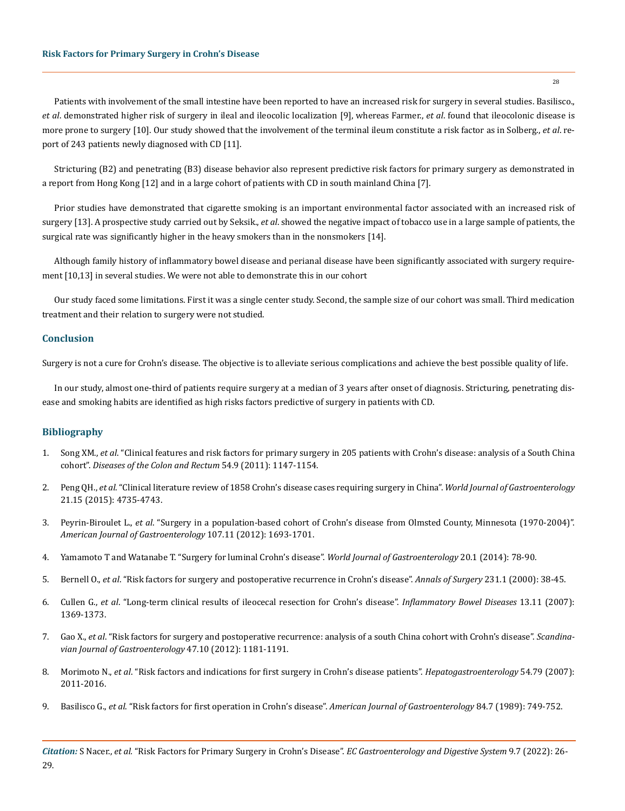Patients with involvement of the small intestine have been reported to have an increased risk for surgery in several studies. Basilisco., *et al*. demonstrated higher risk of surgery in ileal and ileocolic localization [9], whereas Farmer., *et al*. found that ileocolonic disease is more prone to surgery [10]. Our study showed that the involvement of the terminal ileum constitute a risk factor as in Solberg., *et al*. report of 243 patients newly diagnosed with CD [11].

Stricturing (B2) and penetrating (B3) disease behavior also represent predictive risk factors for primary surgery as demonstrated in a report from Hong Kong [12] and in a large cohort of patients with CD in south mainland China [7].

Prior studies have demonstrated that cigarette smoking is an important environmental factor associated with an increased risk of surgery [13]. A prospective study carried out by Seksik., *et al*. showed the negative impact of tobacco use in a large sample of patients, the surgical rate was significantly higher in the heavy smokers than in the nonsmokers [14].

Although family history of inflammatory bowel disease and perianal disease have been significantly associated with surgery requirement [10,13] in several studies. We were not able to demonstrate this in our cohort

Our study faced some limitations. First it was a single center study. Second, the sample size of our cohort was small. Third medication treatment and their relation to surgery were not studied.

#### **Conclusion**

Surgery is not a cure for Crohn's disease. The objective is to alleviate serious complications and achieve the best possible quality of life.

In our study, almost one-third of patients require surgery at a median of 3 years after onset of diagnosis. Stricturing, penetrating disease and smoking habits are identified as high risks factors predictive of surgery in patients with CD.

## **Bibliography**

- 1. Song XM., *et al*[. "Clinical features and risk factors for primary surgery in 205 patients with Crohn's disease: analysis of a South China](https://pubmed.ncbi.nlm.nih.gov/21825896/) cohort". *[Diseases of the Colon and Rectum](https://pubmed.ncbi.nlm.nih.gov/21825896/)* 54.9 (2011): 1147-1154.
- 2. Peng QH., *et al*[. "Clinical literature review of 1858 Crohn's disease cases requiring surgery in China".](https://pubmed.ncbi.nlm.nih.gov/25914485/) *World Journal of Gastroenterology*  [21.15 \(2015\): 4735-4743.](https://pubmed.ncbi.nlm.nih.gov/25914485/)
- 3. Peyrin-Biroulet L., *et al*[. "Surgery in a population-based cohort of Crohn's disease from Olmsted County, Minnesota \(1970-2004\)".](https://pubmed.ncbi.nlm.nih.gov/22945286/) *[American Journal of Gastroenterology](https://pubmed.ncbi.nlm.nih.gov/22945286/)* 107.11 (2012): 1693-1701.
- 4. [Yamamoto T and Watanabe T. "Surgery for luminal Crohn's disease".](https://pubmed.ncbi.nlm.nih.gov/24415860/) *World Journal of Gastroenterology* 20.1 (2014): 78-90.
- 5. Bernell O., *et al*[. "Risk factors for surgery and postoperative recurrence in Crohn's disease".](https://pubmed.ncbi.nlm.nih.gov/10636100/) *Annals of Surgery* 231.1 (2000): 38-45.
- 6. Cullen G., *et al*[. "Long-term clinical results of ileocecal resection for Crohn's disease".](https://pubmed.ncbi.nlm.nih.gov/17600379/) *Inflammatory Bowel Diseases* 13.11 (2007): [1369-1373.](https://pubmed.ncbi.nlm.nih.gov/17600379/)
- 7. Gao X., *et al*[. "Risk factors for surgery and postoperative recurrence: analysis of a south China cohort with Crohn's disease".](https://pubmed.ncbi.nlm.nih.gov/22845663/) *Scandina[vian Journal of Gastroenterology](https://pubmed.ncbi.nlm.nih.gov/22845663/)* 47.10 (2012): 1181-1191.
- 8. Morimoto N., *et al*[. "Risk factors and indications for first surgery in Crohn's disease patients".](https://pubmed.ncbi.nlm.nih.gov/18251150/) *Hepatogastroenterology* 54.79 (2007): [2011-2016.](https://pubmed.ncbi.nlm.nih.gov/18251150/)
- 9. Basilisco G., *et al*[. "Risk factors for first operation in Crohn's disease".](https://pubmed.ncbi.nlm.nih.gov/2741884/) *American Journal of Gastroenterology* 84.7 (1989): 749-752.

28